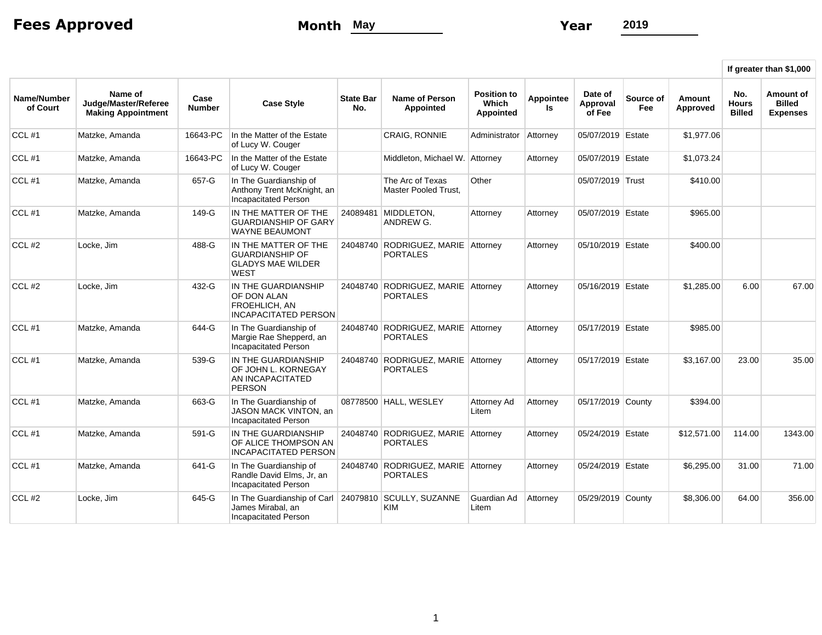Fees Approved **Month** May **Month** May **Year** 2019

 $\Gamma$ 

|                         |                                                              |                       |                                                                                                            |                         |                                                       |                                                 |                 |                               |                  |                    | If greater than \$1,000              |                                                      |
|-------------------------|--------------------------------------------------------------|-----------------------|------------------------------------------------------------------------------------------------------------|-------------------------|-------------------------------------------------------|-------------------------------------------------|-----------------|-------------------------------|------------------|--------------------|--------------------------------------|------------------------------------------------------|
| Name/Number<br>of Court | Name of<br>Judge/Master/Referee<br><b>Making Appointment</b> | Case<br><b>Number</b> | <b>Case Style</b>                                                                                          | <b>State Bar</b><br>No. | <b>Name of Person</b><br><b>Appointed</b>             | <b>Position to</b><br>Which<br><b>Appointed</b> | Appointee<br>ls | Date of<br>Approval<br>of Fee | Source of<br>Fee | Amount<br>Approved | No.<br><b>Hours</b><br><b>Billed</b> | <b>Amount of</b><br><b>Billed</b><br><b>Expenses</b> |
| CCL#1                   | Matzke, Amanda                                               | 16643-PC              | In the Matter of the Estate<br>of Lucy W. Couger                                                           |                         | <b>CRAIG, RONNIE</b>                                  | Administrator                                   | Attorney        | 05/07/2019 Estate             |                  | \$1,977.06         |                                      |                                                      |
| CCL#1                   | Matzke, Amanda                                               | 16643-PC              | In the Matter of the Estate<br>of Lucy W. Couger                                                           |                         | Middleton, Michael W. Attorney                        |                                                 | Attorney        | 05/07/2019 Estate             |                  | \$1,073.24         |                                      |                                                      |
| CCL#1                   | Matzke, Amanda                                               | 657-G                 | In The Guardianship of<br>Anthony Trent McKnight, an<br>Incapacitated Person                               |                         | The Arc of Texas<br><b>Master Pooled Trust.</b>       | Other                                           |                 | 05/07/2019 Trust              |                  | \$410.00           |                                      |                                                      |
| CCL $#1$                | Matzke, Amanda                                               | 149-G                 | IN THE MATTER OF THE<br><b>GUARDIANSHIP OF GARY</b><br><b>WAYNE BEAUMONT</b>                               |                         | 24089481 MIDDLETON,<br>ANDREW G.                      | Attorney                                        | Attorney        | 05/07/2019 Estate             |                  | \$965.00           |                                      |                                                      |
| $CCL$ #2                | Locke, Jim                                                   | 488-G                 | IN THE MATTER OF THE<br>GUARDIANSHIP OF<br><b>GLADYS MAE WILDER</b><br><b>WEST</b>                         |                         | 24048740 RODRIGUEZ, MARIE Attorney<br><b>PORTALES</b> |                                                 | Attorney        | 05/10/2019 Estate             |                  | \$400.00           |                                      |                                                      |
| $CCL$ #2                | Locke, Jim                                                   | 432-G                 | IN THE GUARDIANSHIP<br>OF DON ALAN<br><b>FROEHLICH, AN</b><br><b>INCAPACITATED PERSON</b>                  |                         | 24048740 RODRIGUEZ, MARIE Attorney<br><b>PORTALES</b> |                                                 | Attorney        | 05/16/2019 Estate             |                  | \$1,285.00         | 6.00                                 | 67.00                                                |
| $CCL$ #1                | Matzke, Amanda                                               | 644-G                 | In The Guardianship of<br>Margie Rae Shepperd, an<br>Incapacitated Person                                  |                         | 24048740 RODRIGUEZ, MARIE Attorney<br><b>PORTALES</b> |                                                 | Attorney        | 05/17/2019 Estate             |                  | \$985.00           |                                      |                                                      |
| $CCL$ #1                | Matzke. Amanda                                               | 539-G                 | IN THE GUARDIANSHIP<br>OF JOHN L. KORNEGAY<br>AN INCAPACITATED<br><b>PERSON</b>                            | 24048740                | RODRIGUEZ, MARIE Attorney<br><b>PORTALES</b>          |                                                 | Attorney        | 05/17/2019 Estate             |                  | \$3,167.00         | 23.00                                | 35.00                                                |
| CCL#1                   | Matzke, Amanda                                               | 663-G                 | In The Guardianship of<br>JASON MACK VINTON, an<br>Incapacitated Person                                    |                         | 08778500 HALL, WESLEY                                 | Attorney Ad<br>Litem                            | Attorney        | 05/17/2019 County             |                  | \$394.00           |                                      |                                                      |
| CCL#1                   | Matzke, Amanda                                               | 591-G                 | IN THE GUARDIANSHIP<br>OF ALICE THOMPSON AN<br><b>INCAPACITATED PERSON</b>                                 |                         | 24048740 RODRIGUEZ, MARIE Attorney<br><b>PORTALES</b> |                                                 | Attorney        | 05/24/2019 Estate             |                  | \$12,571.00        | 114.00                               | 1343.00                                              |
| $CCL$ #1                | Matzke, Amanda                                               | 641-G                 | In The Guardianship of<br>Randle David Elms, Jr, an<br><b>Incapacitated Person</b>                         |                         | 24048740 RODRIGUEZ, MARIE Attorney<br><b>PORTALES</b> |                                                 | Attorney        | 05/24/2019 Estate             |                  | \$6,295.00         | 31.00                                | 71.00                                                |
| CCL#2                   | Locke, Jim                                                   | 645-G                 | In The Guardianship of Carl   24079810 SCULLY, SUZANNE<br>James Mirabal, an<br><b>Incapacitated Person</b> |                         | <b>KIM</b>                                            | Guardian Ad<br>Litem                            | Attorney        | 05/29/2019 County             |                  | \$8,306.00         | 64.00                                | 356.00                                               |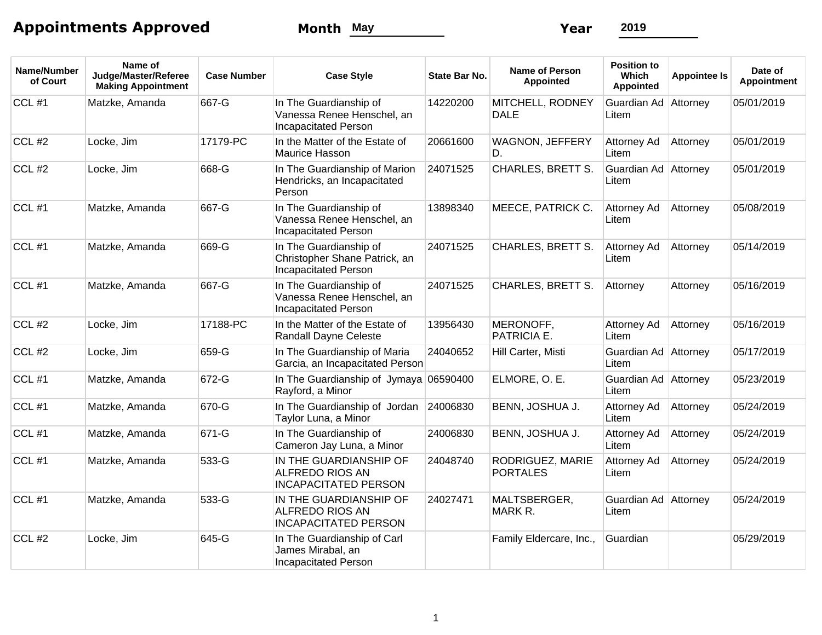## Appointments Approved **Month** May **Month** May **Year** 2019

| Name/Number<br>of Court | Name of<br>Judge/Master/Referee<br><b>Making Appointment</b> | <b>Case Number</b> | <b>Case Style</b>                                                                      | <b>State Bar No.</b> | Name of Person<br><b>Appointed</b>  | <b>Position to</b><br><b>Which</b><br><b>Appointed</b> | <b>Appointee Is</b> | Date of<br><b>Appointment</b> |
|-------------------------|--------------------------------------------------------------|--------------------|----------------------------------------------------------------------------------------|----------------------|-------------------------------------|--------------------------------------------------------|---------------------|-------------------------------|
| CCL#1                   | Matzke, Amanda                                               | 667-G              | In The Guardianship of<br>Vanessa Renee Henschel, an<br><b>Incapacitated Person</b>    | 14220200             | MITCHELL, RODNEY<br><b>DALE</b>     | Guardian Ad<br>Litem                                   | Attorney            | 05/01/2019                    |
| CCL#2                   | Locke, Jim                                                   | 17179-PC           | In the Matter of the Estate of<br>Maurice Hasson                                       | 20661600             | WAGNON, JEFFERY<br>D.               | Attorney Ad<br>Litem                                   | Attorney            | 05/01/2019                    |
| $CCL$ #2                | Locke, Jim                                                   | 668-G              | In The Guardianship of Marion<br>Hendricks, an Incapacitated<br>Person                 | 24071525             | <b>CHARLES, BRETT S.</b>            | Guardian Ad<br>Litem                                   | Attorney            | 05/01/2019                    |
| CCL#1                   | Matzke, Amanda                                               | 667-G              | In The Guardianship of<br>Vanessa Renee Henschel, an<br><b>Incapacitated Person</b>    | 13898340             | MEECE, PATRICK C.                   | Attorney Ad<br>Litem                                   | Attorney            | 05/08/2019                    |
| CCL#1                   | Matzke, Amanda                                               | 669-G              | In The Guardianship of<br>Christopher Shane Patrick, an<br><b>Incapacitated Person</b> | 24071525             | <b>CHARLES, BRETT S.</b>            | Attorney Ad<br>Litem                                   | Attorney            | 05/14/2019                    |
| CCL#1                   | Matzke, Amanda                                               | 667-G              | In The Guardianship of<br>Vanessa Renee Henschel, an<br><b>Incapacitated Person</b>    | 24071525             | <b>CHARLES, BRETT S.</b>            | Attorney                                               | Attorney            | 05/16/2019                    |
| $CCL$ #2                | Locke, Jim                                                   | 17188-PC           | In the Matter of the Estate of<br><b>Randall Dayne Celeste</b>                         | 13956430             | MERONOFF,<br>PATRICIA E.            | Attorney Ad<br>Litem                                   | Attorney            | 05/16/2019                    |
| $CCL$ #2                | Locke, Jim                                                   | 659-G              | In The Guardianship of Maria<br>Garcia, an Incapacitated Person                        | 24040652             | Hill Carter, Misti                  | Guardian Ad Attorney<br>Litem                          |                     | 05/17/2019                    |
| $CCL$ #1                | Matzke, Amanda                                               | 672-G              | In The Guardianship of Jymaya 06590400<br>Rayford, a Minor                             |                      | ELMORE, O. E.                       | Guardian Ad   Attorney<br>Litem                        |                     | 05/23/2019                    |
| CCL#1                   | Matzke, Amanda                                               | 670-G              | In The Guardianship of Jordan<br>Taylor Luna, a Minor                                  | 24006830             | BENN, JOSHUA J.                     | Attorney Ad<br>Litem                                   | Attorney            | 05/24/2019                    |
| CCL#1                   | Matzke, Amanda                                               | 671-G              | In The Guardianship of<br>Cameron Jay Luna, a Minor                                    | 24006830             | BENN, JOSHUA J.                     | Attorney Ad<br>Litem                                   | Attorney            | 05/24/2019                    |
| CCL#1                   | Matzke, Amanda                                               | 533-G              | IN THE GUARDIANSHIP OF<br>ALFREDO RIOS AN<br><b>INCAPACITATED PERSON</b>               | 24048740             | RODRIGUEZ, MARIE<br><b>PORTALES</b> | Attorney Ad<br>Litem                                   | Attorney            | 05/24/2019                    |
| CCL#1                   | Matzke, Amanda                                               | 533-G              | IN THE GUARDIANSHIP OF<br><b>ALFREDO RIOS AN</b><br><b>INCAPACITATED PERSON</b>        | 24027471             | MALTSBERGER,<br>MARK R.             | Guardian Ad Attorney<br>Litem                          |                     | 05/24/2019                    |
| $CCL$ #2                | Locke, Jim                                                   | 645-G              | In The Guardianship of Carl<br>James Mirabal, an<br><b>Incapacitated Person</b>        |                      | Family Eldercare, Inc.,             | Guardian                                               |                     | 05/29/2019                    |